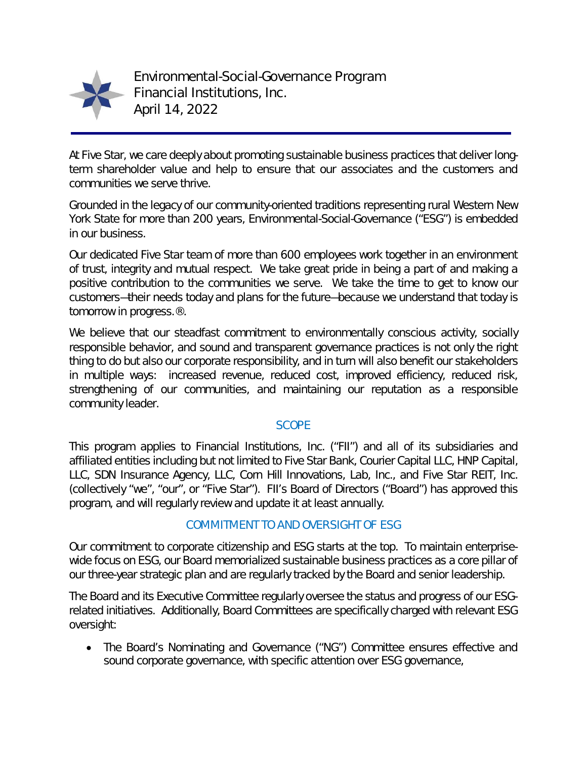

Environmental-Social-Governance Program Financial Institutions, Inc. April 14, 2022

At Five Star, we care deeply about promoting sustainable business practices that deliver longterm shareholder value and help to ensure that our associates and the customers and communities we serve thrive.

Grounded in the legacy of our community-oriented traditions representing rural Western New York State for more than 200 years, Environmental-Social-Governance ("ESG") is embedded in our business.

Our dedicated Five Star team of more than 600 employees work together in an environment of trust, integrity and mutual respect. We take great pride in being a part of and making a positive contribution to the communities we serve. We take the time to get to know our customers—their needs today and plans for the future—because we understand that today is tomorrow in progress.®.

We believe that our steadfast commitment to environmentally conscious activity, socially responsible behavior, and sound and transparent governance practices is not only the right thing to do but also our corporate responsibility, and in turn will also benefit our stakeholders in multiple ways: increased revenue, reduced cost, improved efficiency, reduced risk, strengthening of our communities, and maintaining our reputation as a responsible community leader.

### **SCOPE**

This program applies to Financial Institutions, Inc. ("FII") and all of its subsidiaries and affiliated entities including but not limited to Five Star Bank, Courier Capital LLC, HNP Capital, LLC, SDN Insurance Agency, LLC, Corn Hill Innovations, Lab, Inc., and Five Star REIT, Inc. (collectively "we", "our", or "Five Star"). FII's Board of Directors ("Board") has approved this program, and will regularly review and update it at least annually.

### COMMITMENT TO AND OVERSIGHT OF ESG

Our commitment to corporate citizenship and ESG starts at the top. To maintain enterprisewide focus on ESG, our Board memorialized sustainable business practices as a core pillar of our three-year strategic plan and are regularly tracked by the Board and senior leadership.

The Board and its Executive Committee regularly oversee the status and progress of our ESGrelated initiatives. Additionally, Board Committees are specifically charged with relevant ESG oversight:

 The Board's Nominating and Governance ("NG") Committee ensures effective and sound corporate governance, with specific attention over ESG governance,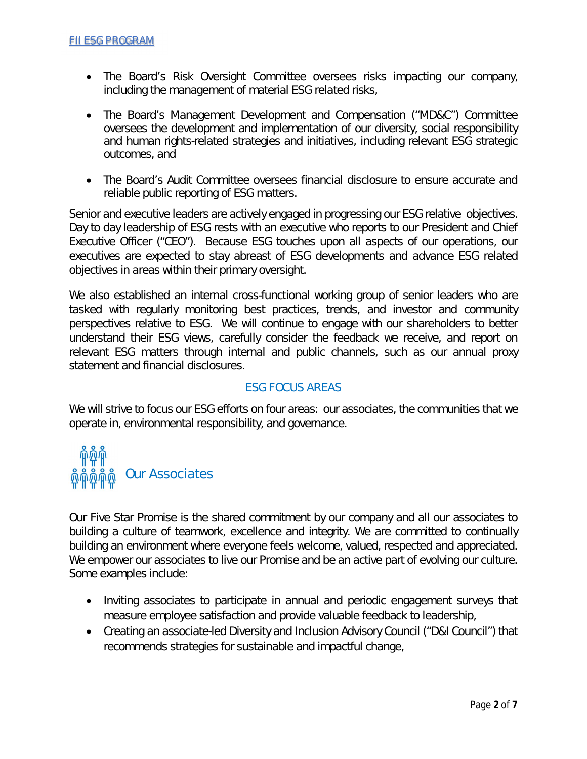- The Board's Risk Oversight Committee oversees risks impacting our company, including the management of material ESG related risks,
- The Board's Management Development and Compensation ("MD&C") Committee oversees the development and implementation of our diversity, social responsibility and human rights-related strategies and initiatives, including relevant ESG strategic outcomes, and
- The Board's Audit Committee oversees financial disclosure to ensure accurate and reliable public reporting of ESG matters.

Senior and executive leaders are actively engaged in progressing our ESG relative objectives. Day to day leadership of ESG rests with an executive who reports to our President and Chief Executive Officer ("CEO"). Because ESG touches upon all aspects of our operations, our executives are expected to stay abreast of ESG developments and advance ESG related objectives in areas within their primary oversight.

We also established an internal cross-functional working group of senior leaders who are tasked with regularly monitoring best practices, trends, and investor and community perspectives relative to ESG. We will continue to engage with our shareholders to better understand their ESG views, carefully consider the feedback we receive, and report on relevant ESG matters through internal and public channels, such as our annual proxy statement and financial disclosures.

### ESG FOCUS AREAS

We will strive to focus our ESG efforts on four areas: our associates, the communities that we operate in, environmental responsibility, and governance.

# Our Associates

Our Five Star Promise is the shared commitment by our company and all our associates to building a culture of teamwork, excellence and integrity. We are committed to continually building an environment where everyone feels welcome, valued, respected and appreciated. We empower our associates to live our Promise and be an active part of evolving our culture. Some examples include:

- Inviting associates to participate in annual and periodic engagement surveys that measure employee satisfaction and provide valuable feedback to leadership,
- Creating an associate-led Diversity and Inclusion Advisory Council ("D&I Council") that recommends strategies for sustainable and impactful change,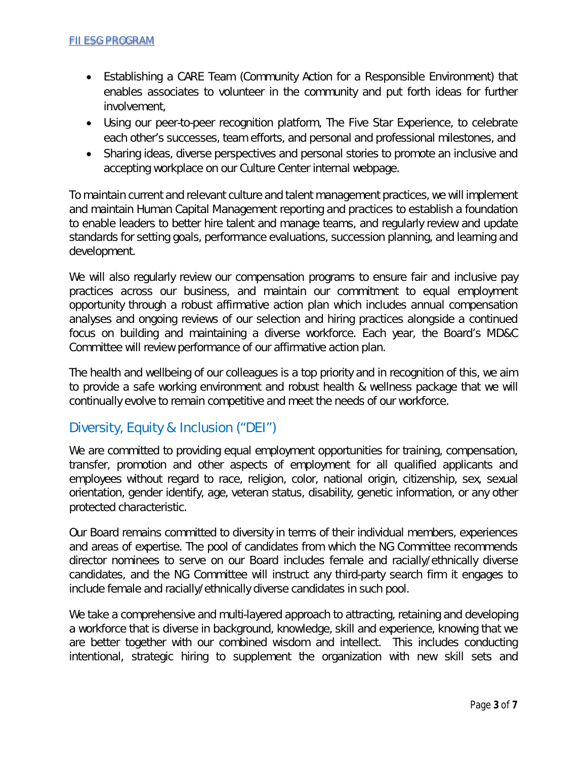- Establishing a CARE Team (Community Action for a Responsible Environment) that enables associates to volunteer in the community and put forth ideas for further involvement,
- Using our peer-to-peer recognition platform, The Five Star Experience, to celebrate each other's successes, team efforts, and personal and professional milestones, and
- Sharing ideas, diverse perspectives and personal stories to promote an inclusive and accepting workplace on our Culture Center internal webpage.

To maintain current and relevant culture and talent management practices, we will implement and maintain Human Capital Management reporting and practices to establish a foundation to enable leaders to better hire talent and manage teams, and regularly review and update standards for setting goals, performance evaluations, succession planning, and learning and development.

We will also regularly review our compensation programs to ensure fair and inclusive pay practices across our business, and maintain our commitment to equal employment opportunity through a robust affirmative action plan which includes annual compensation analyses and ongoing reviews of our selection and hiring practices alongside a continued focus on building and maintaining a diverse workforce. Each year, the Board's MD&C Committee will review performance of our affirmative action plan.

The health and wellbeing of our colleagues is a top priority and in recognition of this, we aim to provide a safe working environment and robust health & wellness package that we will continually evolve to remain competitive and meet the needs of our workforce.

## Diversity, Equity & Inclusion ("DEI")

We are committed to providing equal employment opportunities for training, compensation, transfer, promotion and other aspects of employment for all qualified applicants and employees without regard to race, religion, color, national origin, citizenship, sex, sexual orientation, gender identify, age, veteran status, disability, genetic information, or any other protected characteristic.

Our Board remains committed to diversity in terms of their individual members, experiences and areas of expertise. The pool of candidates from which the NG Committee recommends director nominees to serve on our Board includes female and racially/ethnically diverse candidates, and the NG Committee will instruct any third-party search firm it engages to include female and racially/ethnically diverse candidates in such pool.

We take a comprehensive and multi-layered approach to attracting, retaining and developing a workforce that is diverse in background, knowledge, skill and experience, knowing that we are better together with our combined wisdom and intellect. This includes conducting intentional, strategic hiring to supplement the organization with new skill sets and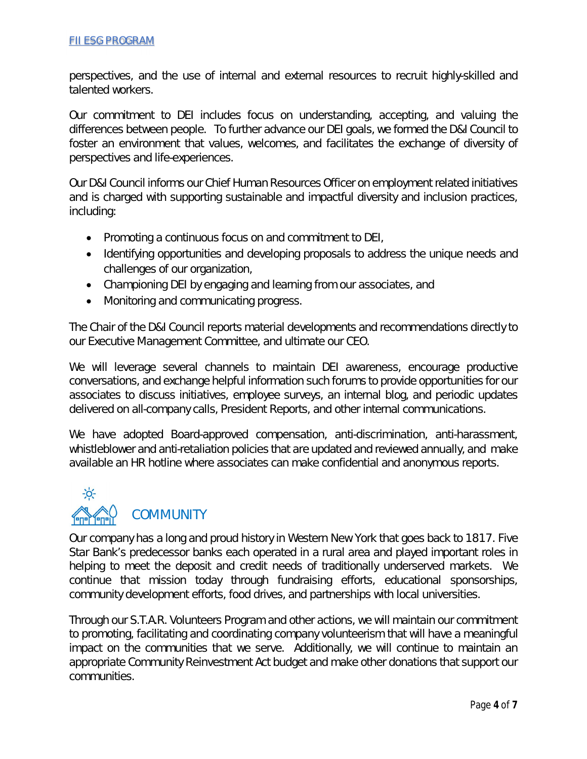perspectives, and the use of internal and external resources to recruit highly-skilled and talented workers.

Our commitment to DEI includes focus on understanding, accepting, and valuing the differences between people. To further advance our DEI goals, we formed the D&I Council to foster an environment that values, welcomes, and facilitates the exchange of diversity of perspectives and life-experiences.

Our D&I Council informs our Chief Human Resources Officer on employment related initiatives and is charged with supporting sustainable and impactful diversity and inclusion practices, including:

- Promoting a continuous focus on and commitment to DEI,
- Identifying opportunities and developing proposals to address the unique needs and challenges of our organization,
- Championing DEI by engaging and learning from our associates, and
- Monitoring and communicating progress.

The Chair of the D&I Council reports material developments and recommendations directly to our Executive Management Committee, and ultimate our CEO.

We will leverage several channels to maintain DEI awareness, encourage productive conversations, and exchange helpful information such forums to provide opportunities for our associates to discuss initiatives, employee surveys, an internal blog, and periodic updates delivered on all-company calls, President Reports, and other internal communications.

We have adopted Board-approved compensation, anti-discrimination, anti-harassment, whistleblower and anti-retaliation policies that are updated and reviewed annually, and make available an HR hotline where associates can make confidential and anonymous reports.



Our company has a long and proud history in Western New York that goes back to 1817. Five Star Bank's predecessor banks each operated in a rural area and played important roles in helping to meet the deposit and credit needs of traditionally underserved markets. We continue that mission today through fundraising efforts, educational sponsorships, community development efforts, food drives, and partnerships with local universities.

Through our S.T.A.R. Volunteers Program and other actions, we will maintain our commitment to promoting, facilitating and coordinating company volunteerism that will have a meaningful impact on the communities that we serve. Additionally, we will continue to maintain an appropriate Community Reinvestment Act budget and make other donations that support our communities.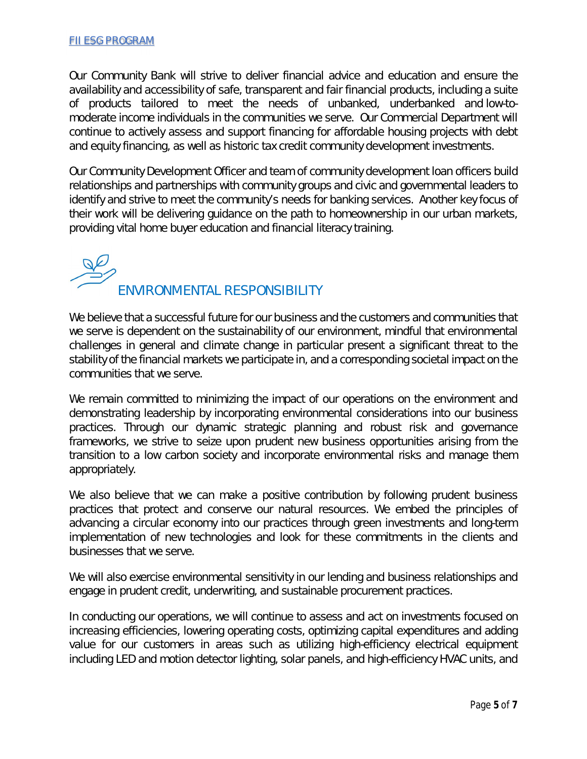Our Community Bank will strive to deliver financial advice and education and ensure the availability and accessibility of safe, transparent and fair financial products, including a suite of products tailored to meet the needs of unbanked, underbanked and low-tomoderate income individuals in the communities we serve. Our Commercial Department will continue to actively assess and support financing for affordable housing projects with debt and equity financing, as well as historic tax credit community development investments.

Our Community Development Officer and team of community development loan officers build relationships and partnerships with community groups and civic and governmental leaders to identify and strive to meet the community's needs for banking services. Another key focus of their work will be delivering guidance on the path to homeownership in our urban markets, providing vital home buyer education and financial literacy training.

ENVIRONMENTAL RESPONSIBILITY

We believe that a successful future for our business and the customers and communities that we serve is dependent on the sustainability of our environment, mindful that environmental challenges in general and climate change in particular present a significant threat to the stability of the financial markets we participate in, and a corresponding societal impact on the communities that we serve.

We remain committed to minimizing the impact of our operations on the environment and demonstrating leadership by incorporating environmental considerations into our business practices. Through our dynamic strategic planning and robust risk and governance frameworks, we strive to seize upon prudent new business opportunities arising from the transition to a low carbon society and incorporate environmental risks and manage them appropriately.

We also believe that we can make a positive contribution by following prudent business practices that protect and conserve our natural resources. We embed the principles of advancing a circular economy into our practices through green investments and long-term implementation of new technologies and look for these commitments in the clients and businesses that we serve.

We will also exercise environmental sensitivity in our lending and business relationships and engage in prudent credit, underwriting, and sustainable procurement practices.

In conducting our operations, we will continue to assess and act on investments focused on increasing efficiencies, lowering operating costs, optimizing capital expenditures and adding value for our customers in areas such as utilizing high-efficiency electrical equipment including LED and motion detector lighting, solar panels, and high-efficiency HVAC units, and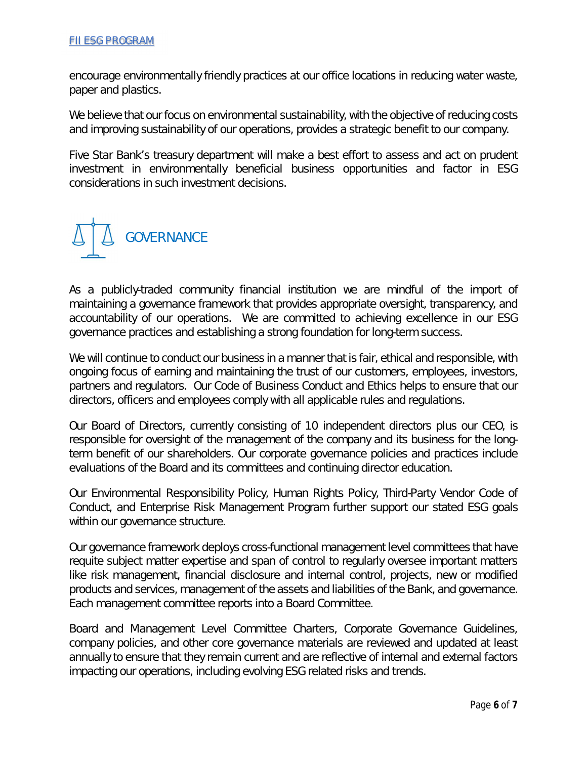encourage environmentally friendly practices at our office locations in reducing water waste, paper and plastics.

We believe that our focus on environmental sustainability, with the objective of reducing costs and improving sustainability of our operations, provides a strategic benefit to our company.

Five Star Bank's treasury department will make a best effort to assess and act on prudent investment in environmentally beneficial business opportunities and factor in ESG considerations in such investment decisions.



As a publicly-traded community financial institution we are mindful of the import of maintaining a governance framework that provides appropriate oversight, transparency, and accountability of our operations. We are committed to achieving excellence in our ESG governance practices and establishing a strong foundation for long-term success.

We will continue to conduct our business in a manner that is fair, ethical and responsible, with ongoing focus of earning and maintaining the trust of our customers, employees, investors, partners and regulators. Our Code of Business Conduct and Ethics helps to ensure that our directors, officers and employees comply with all applicable rules and regulations.

Our Board of Directors, currently consisting of 10 independent directors plus our CEO, is responsible for oversight of the management of the company and its business for the longterm benefit of our shareholders. Our corporate governance policies and practices include evaluations of the Board and its committees and continuing director education.

Our Environmental Responsibility Policy, Human Rights Policy, Third-Party Vendor Code of Conduct, and Enterprise Risk Management Program further support our stated ESG goals within our governance structure.

Our governance framework deploys cross-functional management level committees that have requite subject matter expertise and span of control to regularly oversee important matters like risk management, financial disclosure and internal control, projects, new or modified products and services, management of the assets and liabilities of the Bank, and governance. Each management committee reports into a Board Committee.

Board and Management Level Committee Charters, Corporate Governance Guidelines, company policies, and other core governance materials are reviewed and updated at least annually to ensure that they remain current and are reflective of internal and external factors impacting our operations, including evolving ESG related risks and trends.